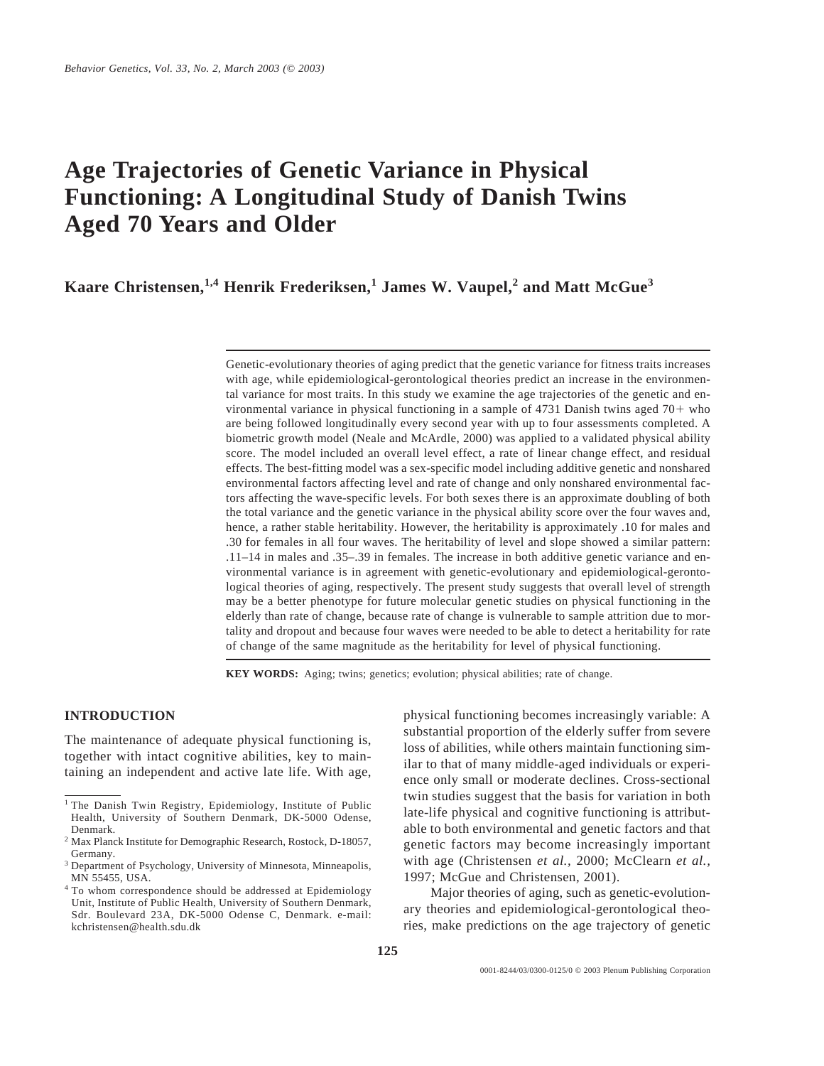# **Age Trajectories of Genetic Variance in Physical Functioning: A Longitudinal Study of Danish Twins Aged 70 Years and Older**

**Kaare Christensen,1,4 Henrik Frederiksen,<sup>1</sup> James W. Vaupel,<sup>2</sup> and Matt McGue<sup>3</sup>**

Genetic-evolutionary theories of aging predict that the genetic variance for fitness traits increases with age, while epidemiological-gerontological theories predict an increase in the environmental variance for most traits. In this study we examine the age trajectories of the genetic and environmental variance in physical functioning in a sample of  $4731$  Danish twins aged  $70+$  who are being followed longitudinally every second year with up to four assessments completed. A biometric growth model (Neale and McArdle, 2000) was applied to a validated physical ability score. The model included an overall level effect, a rate of linear change effect, and residual effects. The best-fitting model was a sex-specific model including additive genetic and nonshared environmental factors affecting level and rate of change and only nonshared environmental factors affecting the wave-specific levels. For both sexes there is an approximate doubling of both the total variance and the genetic variance in the physical ability score over the four waves and, hence, a rather stable heritability. However, the heritability is approximately .10 for males and .30 for females in all four waves. The heritability of level and slope showed a similar pattern: .11–14 in males and .35–.39 in females. The increase in both additive genetic variance and environmental variance is in agreement with genetic-evolutionary and epidemiological-gerontological theories of aging, respectively. The present study suggests that overall level of strength may be a better phenotype for future molecular genetic studies on physical functioning in the elderly than rate of change, because rate of change is vulnerable to sample attrition due to mortality and dropout and because four waves were needed to be able to detect a heritability for rate of change of the same magnitude as the heritability for level of physical functioning.

**KEY WORDS:** Aging; twins; genetics; evolution; physical abilities; rate of change.

# **INTRODUCTION**

The maintenance of adequate physical functioning is, together with intact cognitive abilities, key to maintaining an independent and active late life. With age, physical functioning becomes increasingly variable: A substantial proportion of the elderly suffer from severe loss of abilities, while others maintain functioning similar to that of many middle-aged individuals or experience only small or moderate declines. Cross-sectional twin studies suggest that the basis for variation in both late-life physical and cognitive functioning is attributable to both environmental and genetic factors and that genetic factors may become increasingly important with age (Christensen *et al.,* 2000; McClearn *et al.,* 1997; McGue and Christensen*,* 2001).

Major theories of aging, such as genetic-evolutionary theories and epidemiological-gerontological theories, make predictions on the age trajectory of genetic

<sup>&</sup>lt;sup>1</sup> The Danish Twin Registry, Epidemiology, Institute of Public Health, University of Southern Denmark, DK-5000 Odense, Denmark.

<sup>2</sup> Max Planck Institute for Demographic Research, Rostock, D-18057, Germany.

<sup>3</sup> Department of Psychology, University of Minnesota, Minneapolis, MN 55455, USA.

<sup>4</sup> To whom correspondence should be addressed at Epidemiology Unit, Institute of Public Health, University of Southern Denmark, Sdr. Boulevard 23A, DK-5000 Odense C, Denmark. e-mail: kchristensen@health.sdu.dk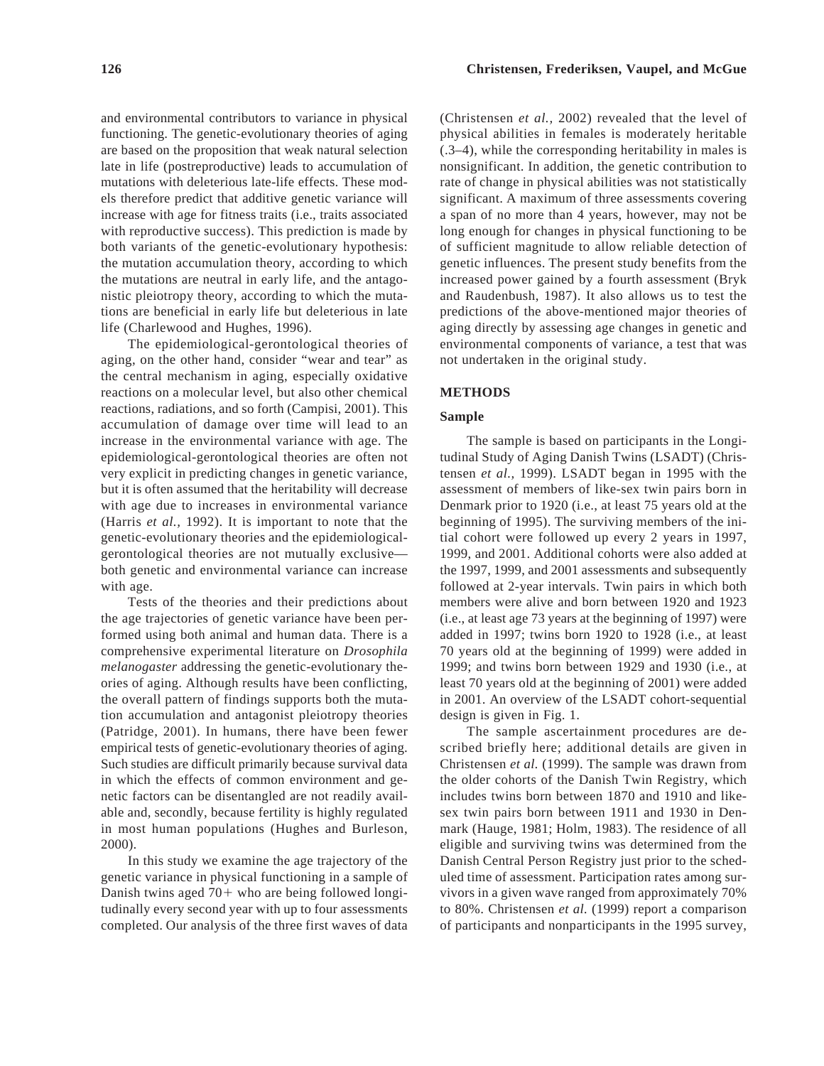and environmental contributors to variance in physical functioning. The genetic-evolutionary theories of aging are based on the proposition that weak natural selection late in life (postreproductive) leads to accumulation of mutations with deleterious late-life effects. These models therefore predict that additive genetic variance will increase with age for fitness traits (i.e., traits associated with reproductive success). This prediction is made by both variants of the genetic-evolutionary hypothesis: the mutation accumulation theory, according to which the mutations are neutral in early life, and the antagonistic pleiotropy theory, according to which the mutations are beneficial in early life but deleterious in late life (Charlewood and Hughes, 1996).

The epidemiological-gerontological theories of aging, on the other hand, consider "wear and tear" as the central mechanism in aging, especially oxidative reactions on a molecular level, but also other chemical reactions, radiations, and so forth (Campisi, 2001). This accumulation of damage over time will lead to an increase in the environmental variance with age. The epidemiological-gerontological theories are often not very explicit in predicting changes in genetic variance, but it is often assumed that the heritability will decrease with age due to increases in environmental variance (Harris *et al.,* 1992). It is important to note that the genetic-evolutionary theories and the epidemiologicalgerontological theories are not mutually exclusive both genetic and environmental variance can increase with age.

Tests of the theories and their predictions about the age trajectories of genetic variance have been performed using both animal and human data. There is a comprehensive experimental literature on *Drosophila melanogaster* addressing the genetic-evolutionary theories of aging. Although results have been conflicting, the overall pattern of findings supports both the mutation accumulation and antagonist pleiotropy theories (Patridge, 2001). In humans, there have been fewer empirical tests of genetic-evolutionary theories of aging. Such studies are difficult primarily because survival data in which the effects of common environment and genetic factors can be disentangled are not readily available and, secondly, because fertility is highly regulated in most human populations (Hughes and Burleson, 2000).

In this study we examine the age trajectory of the genetic variance in physical functioning in a sample of Danish twins aged  $70+$  who are being followed longitudinally every second year with up to four assessments completed. Our analysis of the three first waves of data (Christensen *et al.,* 2002) revealed that the level of physical abilities in females is moderately heritable (.3–4), while the corresponding heritability in males is nonsignificant. In addition, the genetic contribution to rate of change in physical abilities was not statistically significant. A maximum of three assessments covering a span of no more than 4 years, however, may not be long enough for changes in physical functioning to be of sufficient magnitude to allow reliable detection of genetic influences. The present study benefits from the increased power gained by a fourth assessment (Bryk and Raudenbush, 1987). It also allows us to test the predictions of the above-mentioned major theories of aging directly by assessing age changes in genetic and environmental components of variance, a test that was not undertaken in the original study.

# **METHODS**

## **Sample**

The sample is based on participants in the Longitudinal Study of Aging Danish Twins (LSADT) (Christensen *et al.,* 1999). LSADT began in 1995 with the assessment of members of like-sex twin pairs born in Denmark prior to 1920 (i.e., at least 75 years old at the beginning of 1995). The surviving members of the initial cohort were followed up every 2 years in 1997, 1999, and 2001. Additional cohorts were also added at the 1997, 1999, and 2001 assessments and subsequently followed at 2-year intervals. Twin pairs in which both members were alive and born between 1920 and 1923 (i.e., at least age 73 years at the beginning of 1997) were added in 1997; twins born 1920 to 1928 (i.e., at least 70 years old at the beginning of 1999) were added in 1999; and twins born between 1929 and 1930 (i.e., at least 70 years old at the beginning of 2001) were added in 2001. An overview of the LSADT cohort-sequential design is given in Fig. 1.

The sample ascertainment procedures are described briefly here; additional details are given in Christensen *et al.* (1999). The sample was drawn from the older cohorts of the Danish Twin Registry, which includes twins born between 1870 and 1910 and likesex twin pairs born between 1911 and 1930 in Denmark (Hauge, 1981; Holm, 1983). The residence of all eligible and surviving twins was determined from the Danish Central Person Registry just prior to the scheduled time of assessment. Participation rates among survivors in a given wave ranged from approximately 70% to 80%. Christensen *et al.* (1999) report a comparison of participants and nonparticipants in the 1995 survey,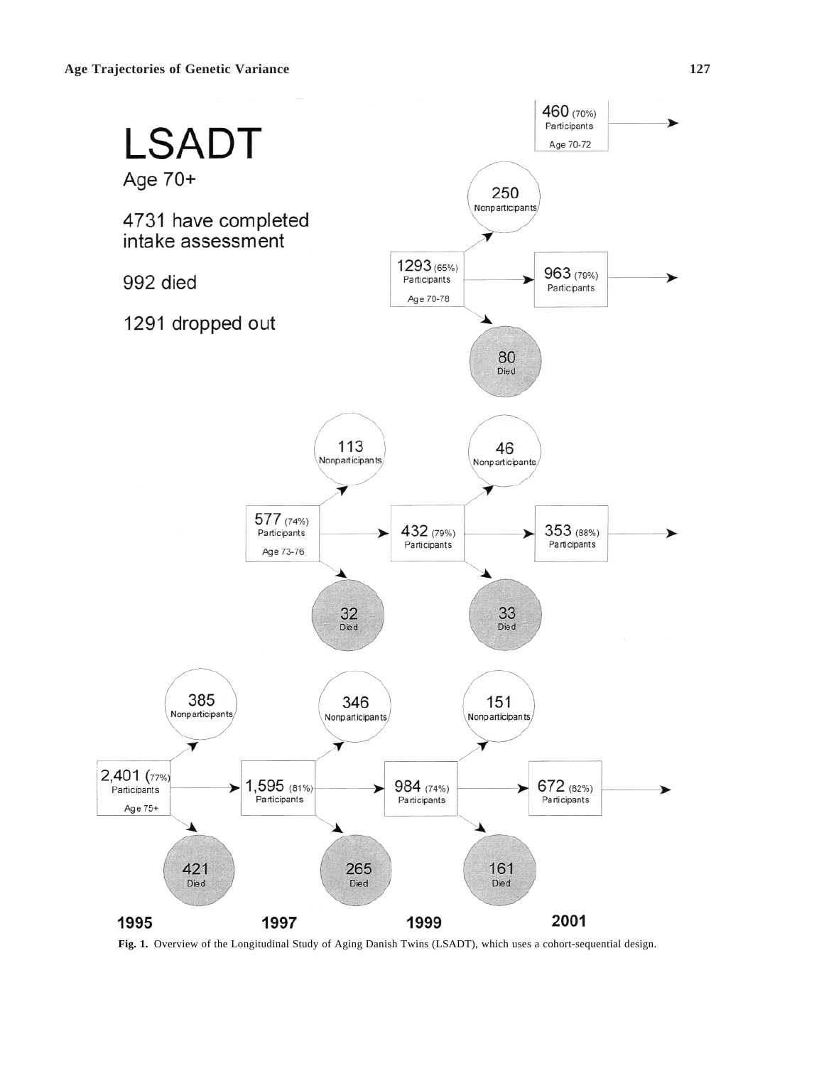

**Fig. 1.** Overview of the Longitudinal Study of Aging Danish Twins (LSADT), which uses a cohort-sequential design.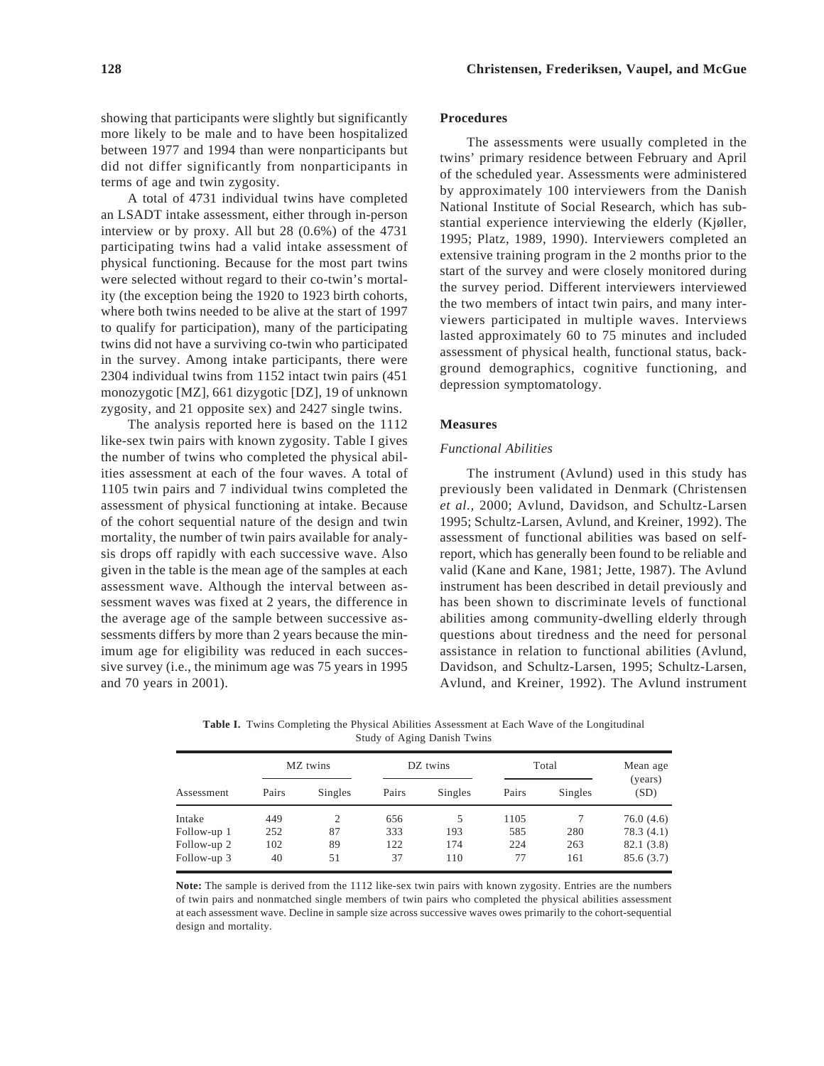showing that participants were slightly but significantly more likely to be male and to have been hospitalized between 1977 and 1994 than were nonparticipants but did not differ significantly from nonparticipants in terms of age and twin zygosity.

A total of 4731 individual twins have completed an LSADT intake assessment, either through in-person interview or by proxy. All but 28 (0.6%) of the 4731 participating twins had a valid intake assessment of physical functioning. Because for the most part twins were selected without regard to their co-twin's mortality (the exception being the 1920 to 1923 birth cohorts, where both twins needed to be alive at the start of 1997 to qualify for participation), many of the participating twins did not have a surviving co-twin who participated in the survey. Among intake participants, there were 2304 individual twins from 1152 intact twin pairs (451 monozygotic [MZ], 661 dizygotic [DZ], 19 of unknown zygosity, and 21 opposite sex) and 2427 single twins.

The analysis reported here is based on the 1112 like-sex twin pairs with known zygosity. Table I gives the number of twins who completed the physical abilities assessment at each of the four waves. A total of 1105 twin pairs and 7 individual twins completed the assessment of physical functioning at intake. Because of the cohort sequential nature of the design and twin mortality, the number of twin pairs available for analysis drops off rapidly with each successive wave. Also given in the table is the mean age of the samples at each assessment wave. Although the interval between assessment waves was fixed at 2 years, the difference in the average age of the sample between successive assessments differs by more than 2 years because the minimum age for eligibility was reduced in each successive survey (i.e., the minimum age was 75 years in 1995 and 70 years in 2001).

# **Procedures**

The assessments were usually completed in the twins' primary residence between February and April of the scheduled year. Assessments were administered by approximately 100 interviewers from the Danish National Institute of Social Research, which has substantial experience interviewing the elderly (Kjøller, 1995; Platz, 1989, 1990). Interviewers completed an extensive training program in the 2 months prior to the start of the survey and were closely monitored during the survey period. Different interviewers interviewed the two members of intact twin pairs, and many interviewers participated in multiple waves. Interviews lasted approximately 60 to 75 minutes and included assessment of physical health, functional status, background demographics, cognitive functioning, and depression symptomatology.

#### **Measures**

## *Functional Abilities*

The instrument (Avlund) used in this study has previously been validated in Denmark (Christensen *et al.,* 2000; Avlund, Davidson, and Schultz-Larsen 1995; Schultz-Larsen, Avlund, and Kreiner, 1992). The assessment of functional abilities was based on selfreport, which has generally been found to be reliable and valid (Kane and Kane, 1981; Jette, 1987). The Avlund instrument has been described in detail previously and has been shown to discriminate levels of functional abilities among community-dwelling elderly through questions about tiredness and the need for personal assistance in relation to functional abilities (Avlund, Davidson, and Schultz-Larsen, 1995; Schultz-Larsen, Avlund, and Kreiner, 1992). The Avlund instrument

**Table I.** Twins Completing the Physical Abilities Assessment at Each Wave of the Longitudinal Study of Aging Danish Twins

| Assessment  | MZ twins |         | DZ twins |         | Total |         | Mean age        |
|-------------|----------|---------|----------|---------|-------|---------|-----------------|
|             | Pairs    | Singles | Pairs    | Singles | Pairs | Singles | (years)<br>(SD) |
| Intake      | 449      | 2       | 656      | 5       | 1105  |         | 76.0(4.6)       |
| Follow-up 1 | 252      | 87      | 333      | 193     | 585   | 280     | 78.3(4.1)       |
| Follow-up 2 | 102      | 89      | 122      | 174     | 224   | 263     | 82.1 (3.8)      |
| Follow-up 3 | 40       | 51      | 37       | 110     | 77    | 161     | 85.6 (3.7)      |

**Note:** The sample is derived from the 1112 like-sex twin pairs with known zygosity. Entries are the numbers of twin pairs and nonmatched single members of twin pairs who completed the physical abilities assessment at each assessment wave. Decline in sample size across successive waves owes primarily to the cohort-sequential design and mortality.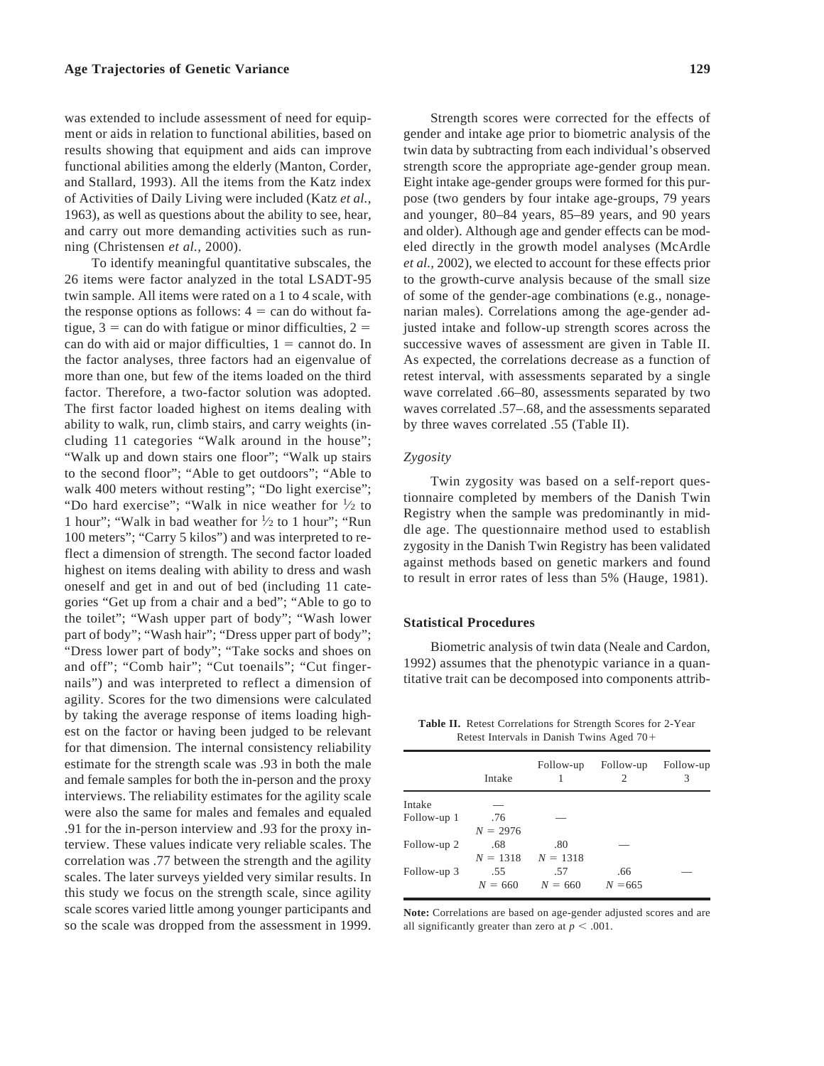was extended to include assessment of need for equipment or aids in relation to functional abilities, based on results showing that equipment and aids can improve functional abilities among the elderly (Manton, Corder, and Stallard, 1993). All the items from the Katz index of Activities of Daily Living were included (Katz *et al.,* 1963), as well as questions about the ability to see, hear, and carry out more demanding activities such as running (Christensen *et al.,* 2000).

To identify meaningful quantitative subscales, the 26 items were factor analyzed in the total LSADT-95 twin sample. All items were rated on a 1 to 4 scale, with the response options as follows:  $4 = \text{can do without fa-}$ tigue,  $3 =$  can do with fatigue or minor difficulties,  $2 =$ can do with aid or major difficulties,  $1 =$  cannot do. In the factor analyses, three factors had an eigenvalue of more than one, but few of the items loaded on the third factor. Therefore, a two-factor solution was adopted. The first factor loaded highest on items dealing with ability to walk, run, climb stairs, and carry weights (including 11 categories "Walk around in the house"; "Walk up and down stairs one floor"; "Walk up stairs to the second floor"; "Able to get outdoors"; "Able to walk 400 meters without resting"; "Do light exercise"; "Do hard exercise"; "Walk in nice weather for  $\frac{1}{2}$  to 1 hour"; "Walk in bad weather for <sup>1</sup> ⁄2 to 1 hour"; "Run 100 meters"; "Carry 5 kilos") and was interpreted to reflect a dimension of strength. The second factor loaded highest on items dealing with ability to dress and wash oneself and get in and out of bed (including 11 categories "Get up from a chair and a bed"; "Able to go to the toilet"; "Wash upper part of body"; "Wash lower part of body"; "Wash hair"; "Dress upper part of body"; "Dress lower part of body"; "Take socks and shoes on and off"; "Comb hair"; "Cut toenails"; "Cut fingernails") and was interpreted to reflect a dimension of agility. Scores for the two dimensions were calculated by taking the average response of items loading highest on the factor or having been judged to be relevant for that dimension. The internal consistency reliability estimate for the strength scale was .93 in both the male and female samples for both the in-person and the proxy interviews. The reliability estimates for the agility scale were also the same for males and females and equaled .91 for the in-person interview and .93 for the proxy interview. These values indicate very reliable scales. The correlation was .77 between the strength and the agility scales. The later surveys yielded very similar results. In this study we focus on the strength scale, since agility scale scores varied little among younger participants and so the scale was dropped from the assessment in 1999.

Strength scores were corrected for the effects of gender and intake age prior to biometric analysis of the twin data by subtracting from each individual's observed strength score the appropriate age-gender group mean. Eight intake age-gender groups were formed for this purpose (two genders by four intake age-groups, 79 years and younger, 80–84 years, 85–89 years, and 90 years and older). Although age and gender effects can be modeled directly in the growth model analyses (McArdle *et al.,* 2002), we elected to account for these effects prior to the growth-curve analysis because of the small size of some of the gender-age combinations (e.g., nonagenarian males). Correlations among the age-gender adjusted intake and follow-up strength scores across the successive waves of assessment are given in Table II. As expected, the correlations decrease as a function of retest interval, with assessments separated by a single wave correlated .66–80, assessments separated by two waves correlated .57–.68, and the assessments separated by three waves correlated .55 (Table II).

# *Zygosity*

Twin zygosity was based on a self-report questionnaire completed by members of the Danish Twin Registry when the sample was predominantly in middle age. The questionnaire method used to establish zygosity in the Danish Twin Registry has been validated against methods based on genetic markers and found to result in error rates of less than 5% (Hauge, 1981).

# **Statistical Procedures**

Biometric analysis of twin data (Neale and Cardon, 1992) assumes that the phenotypic variance in a quantitative trait can be decomposed into components attrib-

**Table II.** Retest Correlations for Strength Scores for 2-Year Retest Intervals in Danish Twins Aged 70+

|             | Intake            | Follow-up         | Follow-up<br>2   | Follow-up<br>3 |
|-------------|-------------------|-------------------|------------------|----------------|
| Intake      |                   |                   |                  |                |
| Follow-up 1 | .76<br>$N = 2976$ |                   |                  |                |
| Follow-up 2 | .68<br>$N = 1318$ | .80<br>$N = 1318$ |                  |                |
| Follow-up 3 | .55<br>$N = 660$  | .57<br>$N = 660$  | .66<br>$N = 665$ |                |

**Note:** Correlations are based on age-gender adjusted scores and are all significantly greater than zero at  $p < .001$ .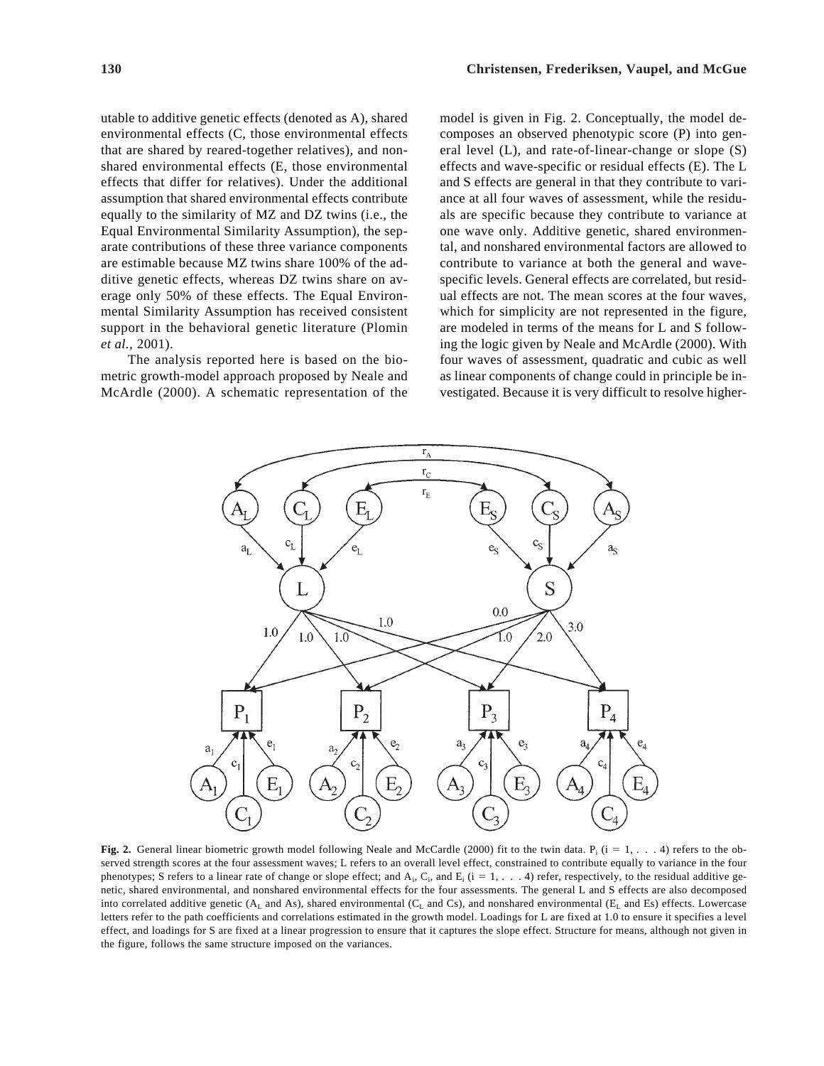utable to additive genetic effects (denoted as A), shared environmental effects (C, those environmental effects that are shared by reared-together relatives), and nonshared environmental effects (E, those environmental effects that differ for relatives). Under the additional assumption that shared environmental effects contribute equally to the similarity of MZ and DZ twins (i.e., the Equal Environmental Similarity Assumption), the separate contributions of these three variance components are estimable because MZ twins share 100% of the additive genetic effects, whereas DZ twins share on average only 50% of these effects. The Equal Environmental Similarity Assumption has received consistent support in the behavioral genetic literature (Plomin *et al.,* 2001).

The analysis reported here is based on the biometric growth-model approach proposed by Neale and McArdle (2000). A schematic representation of the model is given in Fig. 2. Conceptually, the model decomposes an observed phenotypic score (P) into general level (L), and rate-of-linear-change or slope (S) effects and wave-specific or residual effects (E). The L and S effects are general in that they contribute to variance at all four waves of assessment, while the residuals are specific because they contribute to variance at one wave only. Additive genetic, shared environmental, and nonshared environmental factors are allowed to contribute to variance at both the general and wavespecific levels. General effects are correlated, but residual effects are not. The mean scores at the four waves, which for simplicity are not represented in the figure, are modeled in terms of the means for L and S following the logic given by Neale and McArdle (2000). With four waves of assessment, quadratic and cubic as well as linear components of change could in principle be investigated. Because it is very difficult to resolve higher-



**Fig. 2.** General linear biometric growth model following Neale and McCardle (2000) fit to the twin data. P<sub>i</sub>  $(i = 1, \ldots, 4)$  refers to the observed strength scores at the four assessment waves; L refers to an overall level effect, constrained to contribute equally to variance in the four phenotypes; S refers to a linear rate of change or slope effect; and  $A_i$ ,  $C_i$ , and  $E_i$  (i = 1, . . . 4) refer, respectively, to the residual additive genetic, shared environmental, and nonshared environmental effects for the four assessments. The general L and S effects are also decomposed into correlated additive genetic ( $A_L$  and As), shared environmental ( $C_L$  and Cs), and nonshared environmental ( $E_L$  and Es) effects. Lowercase letters refer to the path coefficients and correlations estimated in the growth model. Loadings for L are fixed at 1.0 to ensure it specifies a level effect, and loadings for S are fixed at a linear progression to ensure that it captures the slope effect. Structure for means, although not given in the figure, follows the same structure imposed on the variances.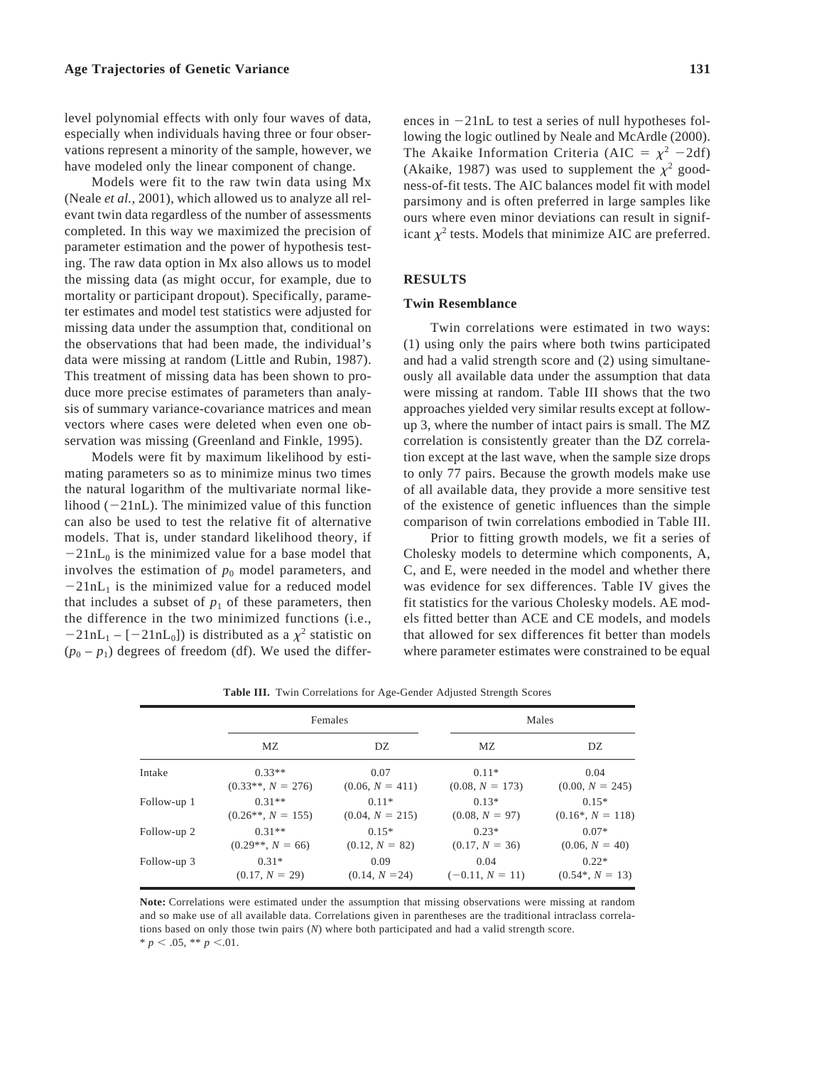level polynomial effects with only four waves of data, especially when individuals having three or four observations represent a minority of the sample, however, we have modeled only the linear component of change.

Models were fit to the raw twin data using Mx (Neale *et al.,* 2001), which allowed us to analyze all relevant twin data regardless of the number of assessments completed. In this way we maximized the precision of parameter estimation and the power of hypothesis testing. The raw data option in Mx also allows us to model the missing data (as might occur, for example, due to mortality or participant dropout). Specifically, parameter estimates and model test statistics were adjusted for missing data under the assumption that, conditional on the observations that had been made, the individual's data were missing at random (Little and Rubin, 1987). This treatment of missing data has been shown to produce more precise estimates of parameters than analysis of summary variance-covariance matrices and mean vectors where cases were deleted when even one observation was missing (Greenland and Finkle, 1995).

Models were fit by maximum likelihood by estimating parameters so as to minimize minus two times the natural logarithm of the multivariate normal likelihood  $(-21nL)$ . The minimized value of this function can also be used to test the relative fit of alternative models. That is, under standard likelihood theory, if  $-21nL_0$  is the minimized value for a base model that involves the estimation of  $p_0$  model parameters, and  $-21nL_1$  is the minimized value for a reduced model that includes a subset of  $p_1$  of these parameters, then the difference in the two minimized functions (i.e.,  $-21nL_1 - [-21nL_0]$ ) is distributed as a  $\chi^2$  statistic on  $(p_0 - p_1)$  degrees of freedom (df). We used the differences in  $-21nL$  to test a series of null hypotheses fol-

lowing the logic outlined by Neale and McArdle (2000). The Akaike Information Criteria (AIC =  $\chi^2$  -2df) (Akaike, 1987) was used to supplement the  $\chi^2$  goodness-of-fit tests. The AIC balances model fit with model parsimony and is often preferred in large samples like ours where even minor deviations can result in significant  $\chi^2$  tests. Models that minimize AIC are preferred.

## **RESULTS**

#### **Twin Resemblance**

Twin correlations were estimated in two ways: (1) using only the pairs where both twins participated and had a valid strength score and (2) using simultaneously all available data under the assumption that data were missing at random. Table III shows that the two approaches yielded very similar results except at followup 3, where the number of intact pairs is small. The MZ correlation is consistently greater than the DZ correlation except at the last wave, when the sample size drops to only 77 pairs. Because the growth models make use of all available data, they provide a more sensitive test of the existence of genetic influences than the simple comparison of twin correlations embodied in Table III.

Prior to fitting growth models, we fit a series of Cholesky models to determine which components, A, C, and E, were needed in the model and whether there was evidence for sex differences. Table IV gives the fit statistics for the various Cholesky models. AE models fitted better than ACE and CE models, and models that allowed for sex differences fit better than models where parameter estimates were constrained to be equal

**Table III.** Twin Correlations for Age-Gender Adjusted Strength Scores

|             |                     | Females           |                   | Males               |  |  |
|-------------|---------------------|-------------------|-------------------|---------------------|--|--|
|             | MZ.                 | DZ.               | МZ                | DZ.                 |  |  |
| Intake      | $0.33**$            | 0.07              | $0.11*$           | 0.04                |  |  |
|             | $(0.33**, N = 276)$ | $(0.06, N = 411)$ | $(0.08, N = 173)$ | $(0.00, N = 245)$   |  |  |
| Follow-up 1 | $0.31**$            | $0.11*$           | $0.13*$           | $0.15*$             |  |  |
|             | $(0.26**, N = 155)$ | $(0.04, N = 215)$ | $(0.08, N = 97)$  | $(0.16^*, N = 118)$ |  |  |
| Follow-up 2 | $0.31**$            | $0.15*$           | $0.23*$           | $0.07*$             |  |  |
|             | $(0.29**, N = 66)$  | $(0.12, N = 82)$  | $(0.17, N = 36)$  | $(0.06, N = 40)$    |  |  |
| Follow-up 3 | $0.31*$             | 0.09              | 0.04              | $0.22*$             |  |  |
|             | $(0.17, N = 29)$    | $(0.14, N = 24)$  | $(-0.11, N = 11)$ | $(0.54*, N = 13)$   |  |  |

**Note:** Correlations were estimated under the assumption that missing observations were missing at random and so make use of all available data. Correlations given in parentheses are the traditional intraclass correlations based on only those twin pairs (*N*) where both participated and had a valid strength score.  $* p < .05, ** p < .01.$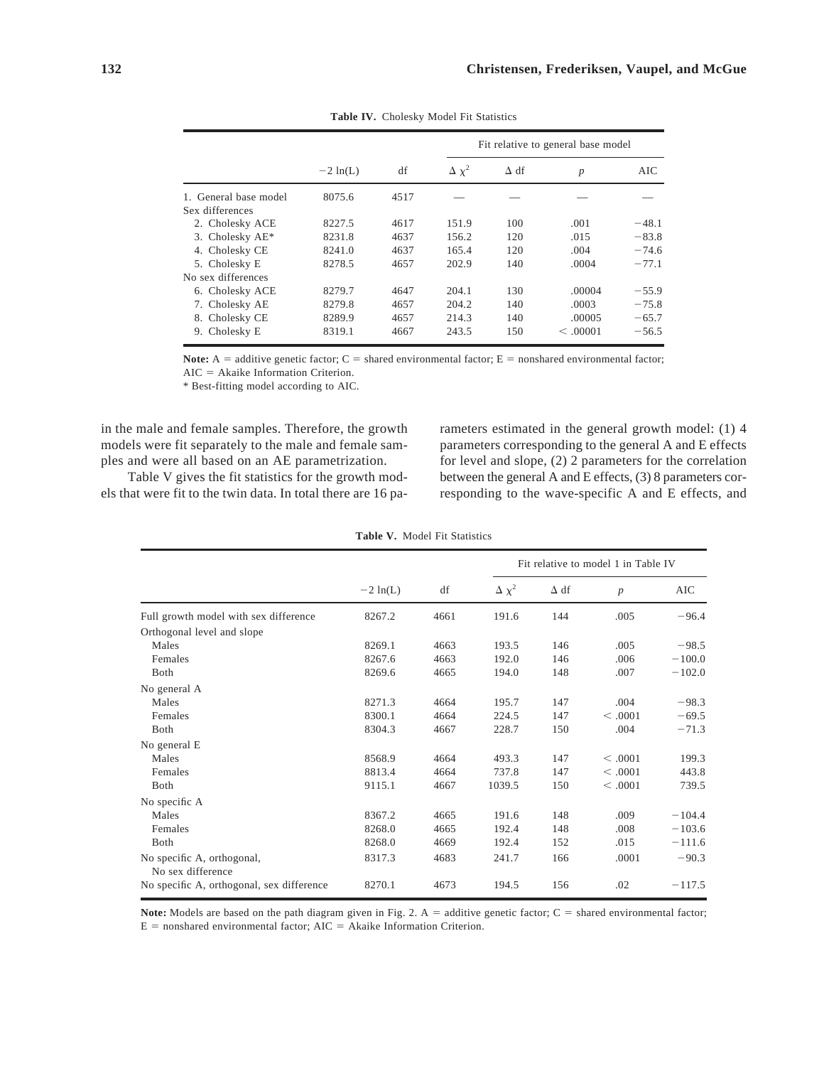|                       |             |      |                 | Fit relative to general base model |          |         |  |
|-----------------------|-------------|------|-----------------|------------------------------------|----------|---------|--|
|                       | $-2 \ln(L)$ | df   | $\Delta \chi^2$ | $\Delta df$                        | p        | AIC     |  |
| 1. General base model | 8075.6      | 4517 |                 |                                    |          |         |  |
| Sex differences       |             |      |                 |                                    |          |         |  |
| 2. Cholesky ACE       | 8227.5      | 4617 | 151.9           | 100                                | .001     | $-48.1$ |  |
| 3. Cholesky AE*       | 8231.8      | 4637 | 156.2           | 120                                | .015     | $-83.8$ |  |
| 4. Cholesky CE        | 8241.0      | 4637 | 165.4           | 120                                | .004     | $-74.6$ |  |
| 5. Cholesky E         | 8278.5      | 4657 | 202.9           | 140                                | .0004    | $-77.1$ |  |
| No sex differences    |             |      |                 |                                    |          |         |  |
| 6. Cholesky ACE       | 8279.7      | 4647 | 204.1           | 130                                | .00004   | $-55.9$ |  |
| 7. Cholesky AE        | 8279.8      | 4657 | 204.2           | 140                                | .0003    | $-75.8$ |  |
| 8. Cholesky CE        | 8289.9      | 4657 | 214.3           | 140                                | .00005   | $-65.7$ |  |
| 9. Cholesky E         | 8319.1      | 4667 | 243.5           | 150                                | < 0.0001 | $-56.5$ |  |
|                       |             |      |                 |                                    |          |         |  |

**Table IV.** Cholesky Model Fit Statistics

**Note:** A = additive genetic factor; C = shared environmental factor; E = nonshared environmental factor;

 $AIC = Akaike Information Criterion.$ 

\* Best-fitting model according to AIC.

in the male and female samples. Therefore, the growth models were fit separately to the male and female samples and were all based on an AE parametrization.

Table V gives the fit statistics for the growth models that were fit to the twin data. In total there are 16 parameters estimated in the general growth model: (1) 4 parameters corresponding to the general A and E effects for level and slope, (2) 2 parameters for the correlation between the general A and E effects, (3) 8 parameters corresponding to the wave-specific A and E effects, and

|                                                 |             |      |                 |             | Fit relative to model 1 in Table IV |            |  |
|-------------------------------------------------|-------------|------|-----------------|-------------|-------------------------------------|------------|--|
|                                                 | $-2 \ln(L)$ | df   | $\Delta \chi^2$ | $\Delta df$ | $\boldsymbol{p}$                    | <b>AIC</b> |  |
| Full growth model with sex difference           | 8267.2      | 4661 | 191.6           | 144         | .005                                | $-96.4$    |  |
| Orthogonal level and slope                      |             |      |                 |             |                                     |            |  |
| Males                                           | 8269.1      | 4663 | 193.5           | 146         | .005                                | $-98.5$    |  |
| Females                                         | 8267.6      | 4663 | 192.0           | 146         | .006                                | $-100.0$   |  |
| Both                                            | 8269.6      | 4665 | 194.0           | 148         | .007                                | $-102.0$   |  |
| No general A                                    |             |      |                 |             |                                     |            |  |
| Males                                           | 8271.3      | 4664 | 195.7           | 147         | .004                                | $-98.3$    |  |
| Females                                         | 8300.1      | 4664 | 224.5           | 147         | < .0001                             | $-69.5$    |  |
| Both                                            | 8304.3      | 4667 | 228.7           | 150         | .004                                | $-71.3$    |  |
| No general E                                    |             |      |                 |             |                                     |            |  |
| Males                                           | 8568.9      | 4664 | 493.3           | 147         | < .0001                             | 199.3      |  |
| Females                                         | 8813.4      | 4664 | 737.8           | 147         | < .0001                             | 443.8      |  |
| <b>B</b> oth                                    | 9115.1      | 4667 | 1039.5          | 150         | < .0001                             | 739.5      |  |
| No specific A                                   |             |      |                 |             |                                     |            |  |
| Males                                           | 8367.2      | 4665 | 191.6           | 148         | .009                                | $-104.4$   |  |
| Females                                         | 8268.0      | 4665 | 192.4           | 148         | .008                                | $-103.6$   |  |
| Both                                            | 8268.0      | 4669 | 192.4           | 152         | .015                                | $-111.6$   |  |
| No specific A, orthogonal,<br>No sex difference | 8317.3      | 4683 | 241.7           | 166         | .0001                               | $-90.3$    |  |
| No specific A, orthogonal, sex difference       | 8270.1      | 4673 | 194.5           | 156         | .02                                 | $-117.5$   |  |

**Table V.** Model Fit Statistics

**Note:** Models are based on the path diagram given in Fig. 2.  $A =$  additive genetic factor;  $C =$  shared environmental factor;  $E =$  nonshared environmental factor;  $AIC = Akaike$  Information Criterion.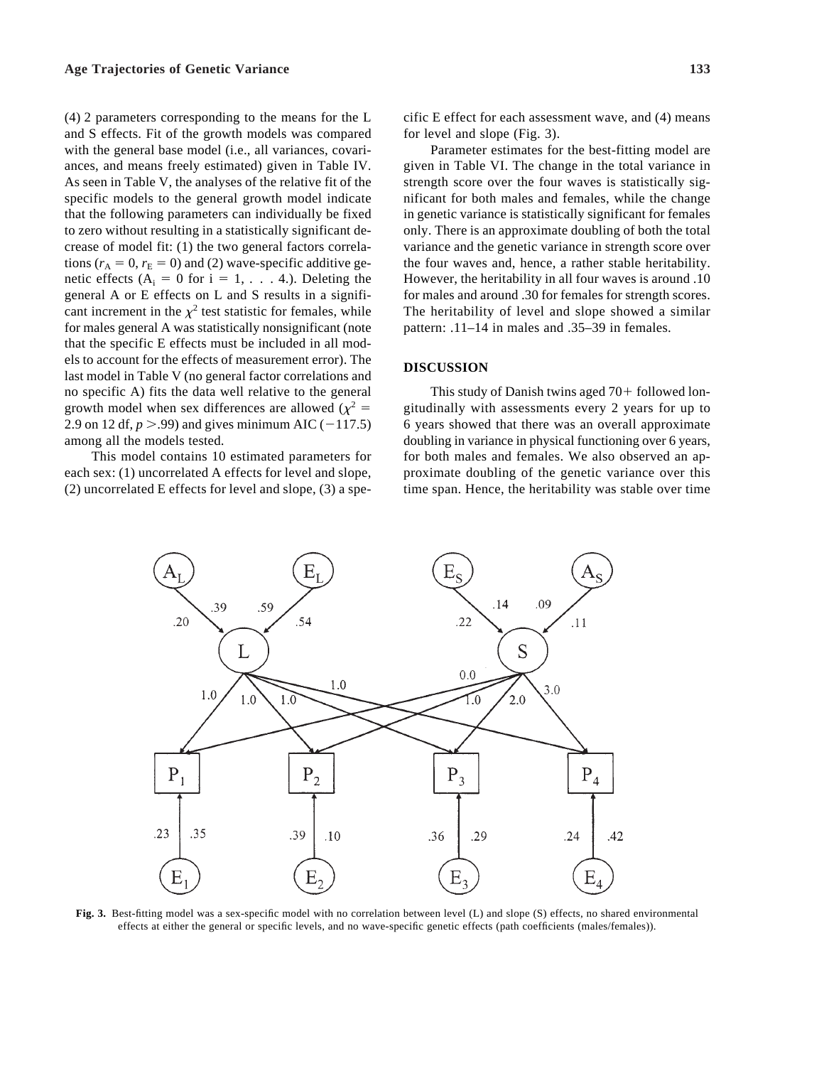(4) 2 parameters corresponding to the means for the L and S effects. Fit of the growth models was compared with the general base model (i.e., all variances, covariances, and means freely estimated) given in Table IV. As seen in Table V, the analyses of the relative fit of the specific models to the general growth model indicate that the following parameters can individually be fixed to zero without resulting in a statistically significant decrease of model fit: (1) the two general factors correlations ( $r_A = 0$ ,  $r_E = 0$ ) and (2) wave-specific additive genetic effects  $(A_i = 0$  for  $i = 1, \ldots 4$ .). Deleting the general A or E effects on L and S results in a significant increment in the  $\chi^2$  test statistic for females, while for males general A was statistically nonsignificant (note that the specific E effects must be included in all models to account for the effects of measurement error). The last model in Table V (no general factor correlations and no specific A) fits the data well relative to the general growth model when sex differences are allowed  $(\chi^2 =$ 2.9 on 12 df,  $p > .99$ ) and gives minimum AIC (-117.5) among all the models tested.

This model contains 10 estimated parameters for each sex: (1) uncorrelated A effects for level and slope, (2) uncorrelated E effects for level and slope, (3) a specific E effect for each assessment wave, and (4) means for level and slope (Fig. 3).

Parameter estimates for the best-fitting model are given in Table VI. The change in the total variance in strength score over the four waves is statistically significant for both males and females, while the change in genetic variance is statistically significant for females only. There is an approximate doubling of both the total variance and the genetic variance in strength score over the four waves and, hence, a rather stable heritability. However, the heritability in all four waves is around .10 for males and around .30 for females for strength scores. The heritability of level and slope showed a similar pattern: .11–14 in males and .35–39 in females.

#### **DISCUSSION**

This study of Danish twins aged  $70+$  followed longitudinally with assessments every 2 years for up to 6 years showed that there was an overall approximate doubling in variance in physical functioning over 6 years, for both males and females. We also observed an approximate doubling of the genetic variance over this time span. Hence, the heritability was stable over time



Fig. 3. Best-fitting model was a sex-specific model with no correlation between level (L) and slope (S) effects, no shared environmental effects at either the general or specific levels, and no wave-specific genetic effects (path coefficients (males/females)).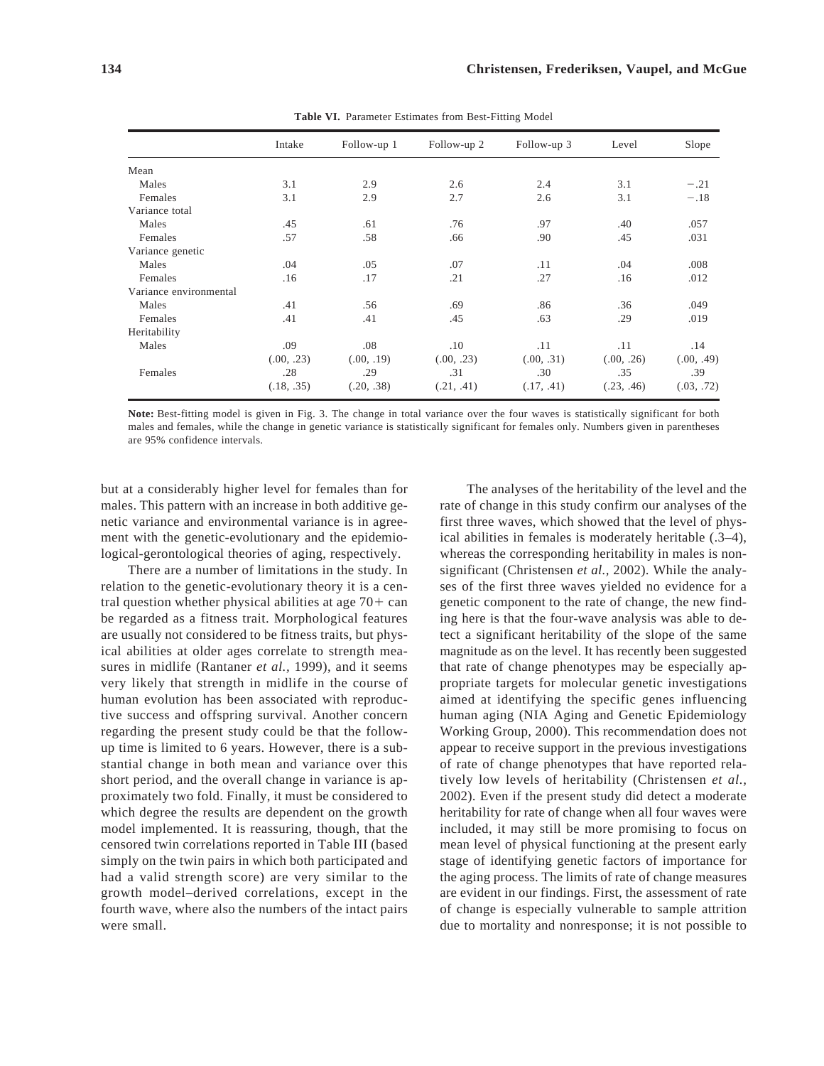|                        | Intake     | Follow-up 1 | Follow-up 2 | Follow-up 3 | Level      | Slope      |
|------------------------|------------|-------------|-------------|-------------|------------|------------|
| Mean                   |            |             |             |             |            |            |
| Males                  | 3.1        | 2.9         | 2.6         | 2.4         | 3.1        | $-.21$     |
| Females                | 3.1        | 2.9         | 2.7         | 2.6         | 3.1        | $-.18$     |
| Variance total         |            |             |             |             |            |            |
| Males                  | .45        | .61         | .76         | .97         | .40        | .057       |
| Females                | .57        | .58         | .66         | .90         | .45        | .031       |
| Variance genetic       |            |             |             |             |            |            |
| Males                  | .04        | .05         | .07         | .11         | .04        | .008       |
| Females                | .16        | .17         | .21         | .27         | .16        | .012       |
| Variance environmental |            |             |             |             |            |            |
| Males                  | .41        | .56         | .69         | .86         | .36        | .049       |
| Females                | .41        | .41         | .45         | .63         | .29        | .019       |
| Heritability           |            |             |             |             |            |            |
| Males                  | .09        | .08         | .10         | .11         | .11        | .14        |
|                        | (.00, .23) | (.00, .19)  | (.00, .23)  | (.00, .31)  | (.00, .26) | (.00, .49) |
| Females                | .28        | .29         | .31         | .30         | .35        | .39        |
|                        | (.18, .35) | (.20, .38)  | (.21, .41)  | (.17, .41)  | (.23, .46) | (.03, .72) |

**Table VI.** Parameter Estimates from Best-Fitting Model

**Note:** Best-fitting model is given in Fig. 3. The change in total variance over the four waves is statistically significant for both males and females, while the change in genetic variance is statistically significant for females only. Numbers given in parentheses are 95% confidence intervals.

but at a considerably higher level for females than for males. This pattern with an increase in both additive genetic variance and environmental variance is in agreement with the genetic-evolutionary and the epidemiological-gerontological theories of aging, respectively.

There are a number of limitations in the study. In relation to the genetic-evolutionary theory it is a central question whether physical abilities at age  $70+$  can be regarded as a fitness trait. Morphological features are usually not considered to be fitness traits, but physical abilities at older ages correlate to strength measures in midlife (Rantaner *et al.,* 1999), and it seems very likely that strength in midlife in the course of human evolution has been associated with reproductive success and offspring survival. Another concern regarding the present study could be that the followup time is limited to 6 years. However, there is a substantial change in both mean and variance over this short period, and the overall change in variance is approximately two fold. Finally, it must be considered to which degree the results are dependent on the growth model implemented. It is reassuring, though, that the censored twin correlations reported in Table III (based simply on the twin pairs in which both participated and had a valid strength score) are very similar to the growth model–derived correlations, except in the fourth wave, where also the numbers of the intact pairs were small.

The analyses of the heritability of the level and the rate of change in this study confirm our analyses of the first three waves, which showed that the level of physical abilities in females is moderately heritable (.3–4), whereas the corresponding heritability in males is nonsignificant (Christensen *et al.,* 2002). While the analyses of the first three waves yielded no evidence for a genetic component to the rate of change, the new finding here is that the four-wave analysis was able to detect a significant heritability of the slope of the same magnitude as on the level. It has recently been suggested that rate of change phenotypes may be especially appropriate targets for molecular genetic investigations aimed at identifying the specific genes influencing human aging (NIA Aging and Genetic Epidemiology Working Group, 2000). This recommendation does not appear to receive support in the previous investigations of rate of change phenotypes that have reported relatively low levels of heritability (Christensen *et al.,* 2002). Even if the present study did detect a moderate heritability for rate of change when all four waves were included, it may still be more promising to focus on mean level of physical functioning at the present early stage of identifying genetic factors of importance for the aging process. The limits of rate of change measures are evident in our findings. First, the assessment of rate of change is especially vulnerable to sample attrition due to mortality and nonresponse; it is not possible to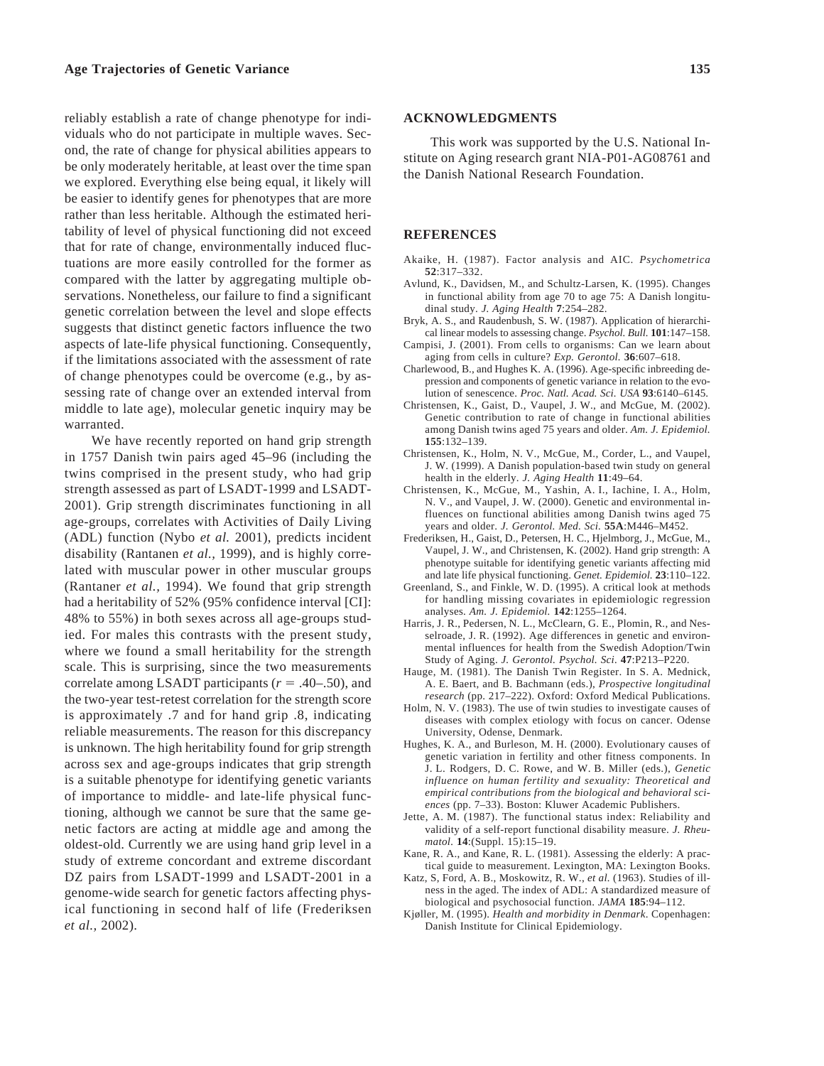reliably establish a rate of change phenotype for individuals who do not participate in multiple waves. Second, the rate of change for physical abilities appears to be only moderately heritable, at least over the time span we explored. Everything else being equal, it likely will be easier to identify genes for phenotypes that are more rather than less heritable. Although the estimated heritability of level of physical functioning did not exceed that for rate of change, environmentally induced fluctuations are more easily controlled for the former as compared with the latter by aggregating multiple observations. Nonetheless, our failure to find a significant genetic correlation between the level and slope effects suggests that distinct genetic factors influence the two aspects of late-life physical functioning. Consequently, if the limitations associated with the assessment of rate of change phenotypes could be overcome (e.g., by assessing rate of change over an extended interval from middle to late age), molecular genetic inquiry may be warranted.

We have recently reported on hand grip strength in 1757 Danish twin pairs aged 45–96 (including the twins comprised in the present study, who had grip strength assessed as part of LSADT-1999 and LSADT-2001). Grip strength discriminates functioning in all age-groups, correlates with Activities of Daily Living (ADL) function (Nybo *et al.* 2001), predicts incident disability (Rantanen *et al.,* 1999), and is highly correlated with muscular power in other muscular groups (Rantaner *et al.,* 1994). We found that grip strength had a heritability of 52% (95% confidence interval [CI]: 48% to 55%) in both sexes across all age-groups studied. For males this contrasts with the present study, where we found a small heritability for the strength scale. This is surprising, since the two measurements correlate among LSADT participants  $(r = .40-.50)$ , and the two-year test-retest correlation for the strength score is approximately .7 and for hand grip .8, indicating reliable measurements. The reason for this discrepancy is unknown. The high heritability found for grip strength across sex and age-groups indicates that grip strength is a suitable phenotype for identifying genetic variants of importance to middle- and late-life physical functioning, although we cannot be sure that the same genetic factors are acting at middle age and among the oldest-old. Currently we are using hand grip level in a study of extreme concordant and extreme discordant DZ pairs from LSADT-1999 and LSADT-2001 in a genome-wide search for genetic factors affecting physical functioning in second half of life (Frederiksen *et al.,* 2002).

#### **ACKNOWLEDGMENTS**

This work was supported by the U.S. National Institute on Aging research grant NIA-P01-AG08761 and the Danish National Research Foundation.

## **REFERENCES**

- Akaike, H. (1987). Factor analysis and AIC. *Psychometrica* **52**:317–332.
- Avlund, K., Davidsen, M., and Schultz-Larsen, K. (1995). Changes in functional ability from age 70 to age 75: A Danish longitudinal study. *J. Aging Health* **7**:254–282.
- Bryk, A. S., and Raudenbush, S. W. (1987). Application of hierarchical linear models to assessing change. *Psychol. Bull.* **101**:147–158.
- Campisi, J. (2001). From cells to organisms: Can we learn about aging from cells in culture? *Exp. Gerontol.* **36**:607–618.
- Charlewood, B., and Hughes K. A. (1996). Age-specific inbreeding depression and components of genetic variance in relation to the evolution of senescence. *Proc. Natl. Acad. Sci. USA* **93**:6140–6145.
- Christensen, K., Gaist, D., Vaupel, J. W., and McGue, M. (2002). Genetic contribution to rate of change in functional abilities among Danish twins aged 75 years and older. *Am. J. Epidemiol.* **155**:132–139.
- Christensen, K., Holm, N. V., McGue, M., Corder, L., and Vaupel, J. W. (1999). A Danish population-based twin study on general health in the elderly. *J. Aging Health* **11**:49–64.
- Christensen, K., McGue, M., Yashin, A. I., Iachine, I. A., Holm, N. V., and Vaupel, J. W. (2000). Genetic and environmental influences on functional abilities among Danish twins aged 75 years and older. *J. Gerontol. Med. Sci.* **55A**:M446–M452.
- Frederiksen, H., Gaist, D., Petersen, H. C., Hjelmborg, J., McGue, M., Vaupel, J. W., and Christensen, K. (2002). Hand grip strength: A phenotype suitable for identifying genetic variants affecting mid and late life physical functioning. *Genet. Epidemiol.* **23**:110–122.
- Greenland, S., and Finkle, W. D. (1995). A critical look at methods for handling missing covariates in epidemiologic regression analyses. *Am. J. Epidemiol.* **142**:1255–1264.
- Harris, J. R., Pedersen, N. L., McClearn, G. E., Plomin, R., and Nesselroade, J. R. (1992). Age differences in genetic and environmental influences for health from the Swedish Adoption/Twin Study of Aging. *J. Gerontol. Psychol. Sci.* **47**:P213–P220.
- Hauge, M. (1981). The Danish Twin Register. In S. A. Mednick, A. E. Baert, and B. Bachmann (eds.), *Prospective longitudinal research* (pp. 217–222). Oxford: Oxford Medical Publications.
- Holm, N. V. (1983). The use of twin studies to investigate causes of diseases with complex etiology with focus on cancer. Odense University, Odense, Denmark.
- Hughes, K. A., and Burleson, M. H. (2000). Evolutionary causes of genetic variation in fertility and other fitness components. In J. L. Rodgers, D. C. Rowe, and W. B. Miller (eds.), *Genetic influence on human fertility and sexuality: Theoretical and empirical contributions from the biological and behavioral sciences* (pp. 7–33). Boston: Kluwer Academic Publishers.
- Jette, A. M. (1987). The functional status index: Reliability and validity of a self-report functional disability measure. *J. Rheumatol.* **14**:(Suppl. 15):15–19.
- Kane, R. A., and Kane, R. L. (1981). Assessing the elderly: A practical guide to measurement. Lexington, MA: Lexington Books.
- Katz, S, Ford, A. B., Moskowitz, R. W., *et al.* (1963). Studies of illness in the aged. The index of ADL: A standardized measure of biological and psychosocial function. *JAMA* **185**:94–112.
- Kjøller, M. (1995). *Health and morbidity in Denmark*. Copenhagen: Danish Institute for Clinical Epidemiology.